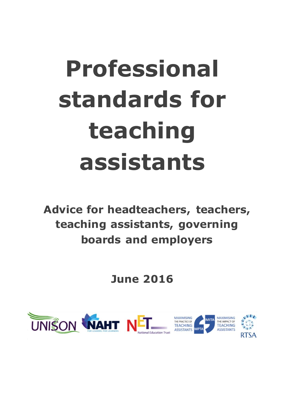# **Professional standards for teaching assistants**

**Advice for headteachers, teachers, teaching assistants, governing boards and employers**

## **June 2016**

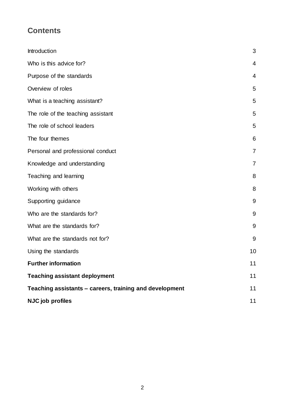## **Contents**

| Introduction                                            | 3              |
|---------------------------------------------------------|----------------|
| Who is this advice for?                                 | $\overline{4}$ |
| Purpose of the standards                                | $\overline{4}$ |
| Overview of roles                                       | 5              |
| What is a teaching assistant?                           | 5              |
| The role of the teaching assistant                      | 5              |
| The role of school leaders                              | 5              |
| The four themes                                         | 6              |
| Personal and professional conduct                       | 7              |
| Knowledge and understanding                             | 7              |
| Teaching and learning                                   | 8              |
| Working with others                                     | 8              |
| Supporting guidance                                     | 9              |
| Who are the standards for?                              | 9              |
| What are the standards for?                             | 9              |
| What are the standards not for?                         | 9              |
| Using the standards                                     | 10             |
| <b>Further information</b>                              | 11             |
| <b>Teaching assistant deployment</b>                    | 11             |
| Teaching assistants - careers, training and development | 11             |
| NJC job profiles                                        | 11             |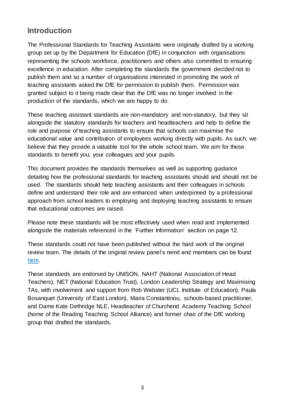## **Introduction**

The Professional Standards for Teaching Assistants were originally drafted by a working group set up by the Department for Education (DfE) in conjunction with organisations representing the schools workforce, practitioners and others also committed to ensuring excellence in education. After completing the standards the government decided not to publish them and so a number of organisations interested in promoting the work of teaching assistants asked the DfE for permission to publish them. Permission was granted subject to it being made clear that the DfE was no longer involved in the production of the standards, which we are happy to do.

These teaching assistant standards are non-mandatory and non-statutory, but they sit alongside the statutory standards for teachers and headteachers and help to define the role and purpose of teaching assistants to ensure that schools can maximise the educational value and contribution of employees working directly with pupils. As such, we believe that they provide a valuable tool for the whole school team. We aim for these standards to benefit you, your colleagues and your pupils.

This document provides the standards themselves as well as supporting guidance detailing how the professional standards for teaching assistants should and should not be used. The standards should help teaching assistants and their colleagues in schools define and understand their role and are enhanced when underpinned by a professional approach from school leaders to employing and deploying teaching assistants to ensure that educational outcomes are raised.

Please note these standards will be most effectively used when read and implemented alongside the materials referenced in the 'Further Information' section on page 12.

These standards could not have been published without the hard work of the original review team. The details of the original review panel's remit and members can be found [here.](https://www.gov.uk/government/news/review-of-standards-for-teaching-assistants-launched)

These standards are endorsed by UNISON, NAHT (National Association of Head Teachers), NET (National Education Trust), London Leadership Strategy and Maximising TAs, with involvement and support from Rob Webster (UCL Institute of Education), Paula Bosanquet (University of East London), Maria Constantinou, schools-based practitioner, and Dame Kate Dethridge NLE, Headteacher of Churchend Academy Teaching School (home of the Reading Teaching School Alliance) and former chair of the DfE working group that drafted the standards.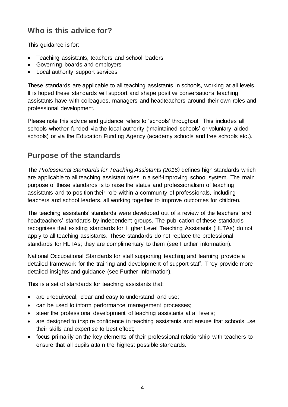## **Who is this advice for?**

This guidance is for:

- Teaching assistants, teachers and school leaders
- Governing boards and employers
- Local authority support services

These standards are applicable to all teaching assistants in schools, working at all levels. It is hoped these standards will support and shape positive conversations teaching assistants have with colleagues, managers and headteachers around their own roles and professional development.

Please note this advice and guidance refers to 'schools' throughout. This includes all schools whether funded via the local authority ('maintained schools' or voluntary aided schools) or via the Education Funding Agency (academy schools and free schools etc.).

## <span id="page-3-0"></span>**Purpose of the standards**

The *Professional Standards for Teaching Assistants (2016)* defines high standards which are applicable to all teaching assistant roles in a self-improving school system. The main purpose of these standards is to raise the status and professionalism of teaching assistants and to position their role within a community of professionals, including teachers and school leaders, all working together to improve outcomes for children.

The teaching assistants' standards were developed out of a review of the teachers' and headteachers' standards by independent groups. The publication of these standards recognises that existing standards for Higher Level Teaching Assistants [\(HLTAs\)](http://webarchive.nationalarchives.gov.uk/20130401151715/http:/www.education.gov.uk/publications/eOrderingDownload/TDA0420.pdf) do not apply to all teaching assistants. These standards do not replace the professional standards for HLTAs; they are complimentary to them (see Further information).

National Occupational Standards for staff supporting teaching and learning provide a detailed framework for the training and development of support staff. They provide more detailed insights and guidance (see Further information).

This is a set of standards for teaching assistants that:

- are unequivocal, clear and easy to understand and use;
- can be used to inform performance management processes;
- steer the professional development of teaching assistants at all levels;
- are designed to inspire confidence in teaching assistants and ensure that schools use their skills and expertise to best effect;
- <span id="page-3-1"></span> focus primarily on the key elements of their professional relationship with teachers to ensure that all pupils attain the highest possible standards.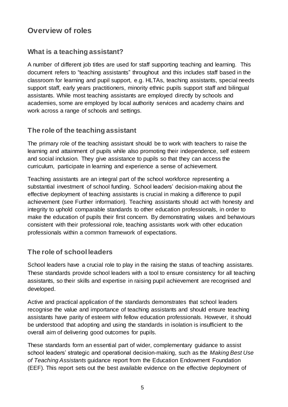## **Overview of roles**

## <span id="page-4-0"></span>**What is a teaching assistant?**

A number of different job titles are used for staff supporting teaching and learning. This document refers to "teaching assistants" throughout and this includes staff based in the classroom for learning and pupil support, e.g. HLTAs, teaching assistants, special needs support staff, early years practitioners, minority ethnic pupils support staff and bilingual assistants. While most teaching assistants are employed directly by schools and academies, some are employed by local authority services and academy chains and work across a range of schools and settings.

## <span id="page-4-1"></span>**The role of the teaching assistant**

The primary role of the teaching assistant should be to work with teachers to raise the learning and attainment of pupils while also promoting their independence, self esteem and social inclusion. They give assistance to pupils so that they can access the curriculum, participate in learning and experience a sense of achievement.

Teaching assistants are an integral part of the school workforce representing a substantial investment of school funding. School leaders' decision-making about the effective deployment of teaching assistants is crucial in making a difference to pupil achievement (see Further information). Teaching assistants should act with honesty and integrity to uphold comparable standards to other education professionals, in order to make the education of pupils their first concern. By demonstrating values and behaviours consistent with their professional role, teaching assistants work with other education professionals within a common framework of expectations.

## <span id="page-4-2"></span>**The role of school leaders**

School leaders have a crucial role to play in the raising the status of teaching assistants. These standards provide school leaders with a tool to ensure consistency for all teaching assistants, so their skills and expertise in raising pupil achievement are recognised and developed.

Active and practical application of the standards demonstrates that school leaders recognise the value and importance of teaching assistants and should ensure teaching assistants have parity of esteem with fellow education professionals. However, it should be understood that adopting and using the standards in isolation is insufficient to the overall aim of delivering good outcomes for pupils.

These standards form an essential part of wider, complementary guidance to assist school leaders' strategic and operational decision-making, such as the *[Making Best Use](https://v1.educationendowmentfoundation.org.uk/uploads/pdf/TA_Guidance_Report_Interactive.pdf)  [of Teaching Assistants](https://v1.educationendowmentfoundation.org.uk/uploads/pdf/TA_Guidance_Report_Interactive.pdf)* guidance report from the Education Endowment Foundation (EEF). This report sets out the best available evidence on the effective deployment of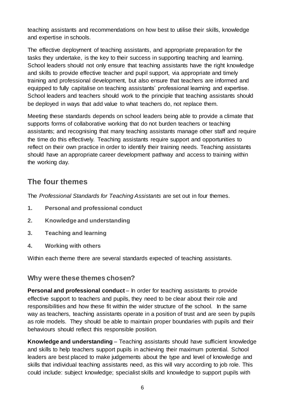teaching assistants and recommendations on how best to utilise their skills, knowledge and expertise in schools.

The effective deployment of teaching assistants, and appropriate preparation for the tasks they undertake, is the key to their success in supporting teaching and learning. School leaders should not only ensure that teaching assistants have the right knowledge and skills to provide effective teacher and pupil support, via appropriate and timely training and professional development, but also ensure that teachers are informed and equipped to fully capitalise on teaching assistants' professional learning and expertise. School leaders and teachers should work to the principle that teaching assistants should be deployed in ways that add value to what teachers do, not replace them.

Meeting these standards depends on school leaders being able to provide a climate that supports forms of collaborative working that do not burden teachers or teaching assistants; and recognising that many teaching assistants manage other staff and require the time do this effectively. Teaching assistants require support and opportunities to reflect on their own practice in order to identify their training needs. Teaching assistants should have an appropriate career development pathway and access to training within the working day.

## <span id="page-5-0"></span>**The four themes**

The *Professional Standards for Teaching Assistants* are set out in four themes.

- **1. Personal and professional conduct**
- **2. Knowledge and understanding**
- **3. Teaching and learning**
- **4. Working with others**

Within each theme there are several standards expected of teaching assistants.

#### **Why were these themes chosen?**

**Personal and professional conduct** – In order for teaching assistants to provide effective support to teachers and pupils, they need to be clear about their role and responsibilities and how these fit within the wider structure of the school. In the same way as teachers, teaching assistants operate in a position of trust and are seen by pupils as role models. They should be able to maintain proper boundaries with pupils and their behaviours should reflect this responsible position.

**Knowledge and understanding** – Teaching assistants should have sufficient knowledge and skills to help teachers support pupils in achieving their maximum potential. School leaders are best placed to make judgements about the type and level of knowledge and skills that individual teaching assistants need, as this will vary according to job role. This could include: subject knowledge; specialist skills and knowledge to support pupils with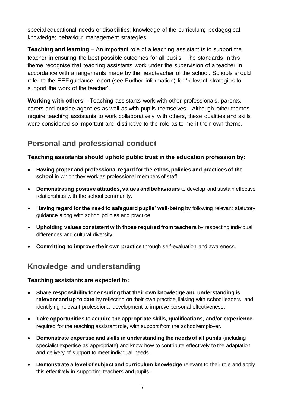special educational needs or disabilities; knowledge of the curriculum; pedagogical knowledge; behaviour management strategies.

**Teaching and learning** – An important role of a teaching assistant is to support the teacher in ensuring the best possible outcomes for all pupils. The standards in this theme recognise that teaching assistants work under the supervision of a teacher in accordance with arrangements made by the headteacher of the school. Schools should refer to the EEF guidance report (see Further information) for 'relevant strategies to support the work of the teacher'.

**Working with others** – Teaching assistants work with other professionals, parents, carers and outside agencies as well as with pupils themselves. Although other themes require teaching assistants to work collaboratively with others, these qualities and skills were considered so important and distinctive to the role as to merit their own theme.

## <span id="page-6-0"></span>**Personal and professional conduct**

**Teaching assistants should uphold public trust in the education profession by:**

- **Having proper and professional regard for the ethos, policies and practices of the school** in which they work as professional members of staff.
- **Demonstrating positive attitudes, values and behaviours** to develop and sustain effective relationships with the school community.
- **Having regard for the need to safeguard pupils' well-being** by following relevant statutory guidance along with school policies and practice.
- **Upholding values consistent with those required from teachers** by respecting individual differences and cultural diversity.
- **Committing to improve their own practice** through self-evaluation and awareness.

## <span id="page-6-1"></span>**Knowledge and understanding**

#### **Teaching assistants are expected to:**

- **Share responsibility for ensuring that their own knowledge and understanding is relevant and up to date** by reflecting on their own practice, liaising with school leaders, and identifying relevant professional development to improve personal effectiveness.
- **Take opportunities to acquire the appropriate skills, qualifications, and/or experience** required for the teaching assistant role, with support from the school/employer.
- **Demonstrate expertise and skills in understanding the needs of all pupils** (including specialist expertise as appropriate) and know how to contribute effectively to the adaptation and delivery of support to meet individual needs.
- **Demonstrate a level of subject and curriculum knowledge** relevant to their role and apply this effectively in supporting teachers and pupils.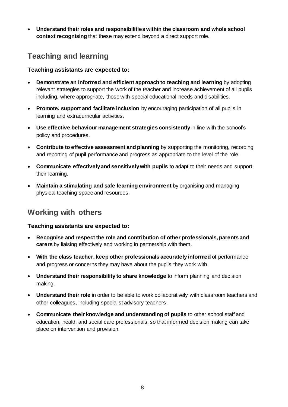**Understand their roles and responsibilities within the classroom and whole school context recognising** that these may extend beyond a direct support role.

## <span id="page-7-0"></span>**Teaching and learning**

#### **Teaching assistants are expected to:**

- **Demonstrate an informed and efficient approach to teaching and learning** by adopting relevant strategies to support the work of the teacher and increase achievement of all pupils including, where appropriate, those with special educational needs and disabilities.
- **Promote, support and facilitate inclusion** by encouraging participation of all pupils in learning and extracurricular activities.
- **Use effective behaviour management strategies consistently** in line with the school's policy and procedures.
- **Contribute to effective assessment and planning** by supporting the monitoring, recording and reporting of pupil performance and progress as appropriate to the level of the role.
- **Communicate effectively and sensitively with pupils** to adapt to their needs and support their learning.
- **Maintain a stimulating and safe learning environment** by organising and managing physical teaching space and resources.

## <span id="page-7-1"></span>**Working with others**

#### **Teaching assistants are expected to:**

- **Recognise and respect the role and contribution of other professionals, parents and carers** by liaising effectively and working in partnership with them.
- **With the class teacher, keep other professionals accurately informed** of performance and progress or concerns they may have about the pupils they work with.
- **Understand their responsibility to share knowledge** to inform planning and decision making.
- **Understand their role** in order to be able to work collaboratively with classroom teachers and other colleagues, including specialist advisory teachers.
- <span id="page-7-2"></span> **Communicate their knowledge and understanding of pupils** to other school staff and education, health and social care professionals, so that informed decision making can take place on intervention and provision.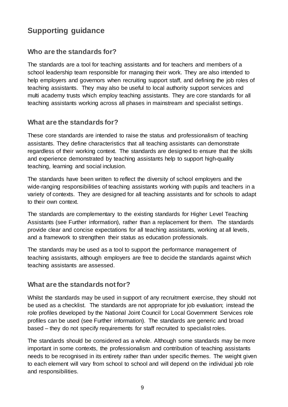## **Supporting guidance**

## <span id="page-8-0"></span>**Who are the standards for?**

The standards are a tool for teaching assistants and for teachers and members of a school leadership team responsible for managing their work. They are also intended to help employers and governors when recruiting support staff, and defining the job roles of teaching assistants. They may also be useful to local authority support services and multi academy trusts which employ teaching assistants. They are core standards for all teaching assistants working across all phases in mainstream and specialist settings.

## <span id="page-8-1"></span>**What are the standards for?**

These core standards are intended to raise the status and professionalism of teaching assistants. They define characteristics that all teaching assistants can demonstrate regardless of their working context. The standards are designed to ensure that the skills and experience demonstrated by teaching assistants help to support high-quality teaching, learning and social inclusion.

The standards have been written to reflect the diversity of school employers and the wide-ranging responsibilities of teaching assistants working with pupils and teachers in a variety of contexts. They are designed for all teaching assistants and for schools to adapt to their own context.

The standards are complementary to the existing standards for Higher Level Teaching Assistants (see Further information), rather than a replacement for them. The standards provide clear and concise expectations for all teaching assistants, working at all levels, and a framework to strengthen their status as education professionals.

The standards may be used as a tool to support the performance management of teaching assistants, although employers are free to decide the standards against which teaching assistants are assessed.

#### <span id="page-8-2"></span>**What are the standards not for?**

Whilst the standards may be used in support of any recruitment exercise, they should not be used as a checklist. The standards are not appropriate for job evaluation; instead the role profiles developed by the National Joint Council for Local Government Services role profiles can be used (see Further information). The standards are generic and broad based – they do not specify requirements for staff recruited to specialist roles.

The standards should be considered as a whole. Although some standards may be more important in some contexts, the professionalism and contribution of teaching assistants needs to be recognised in its entirety rather than under specific themes. The weight given to each element will vary from school to school and will depend on the individual job role and responsibilities.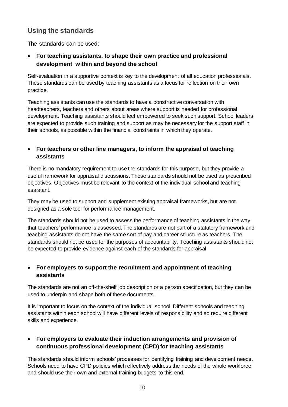## <span id="page-9-0"></span>**Using the standards**

The standards can be used:

#### **For teaching assistants, to shape their own practice and professional development**, **within and beyond the school**

Self-evaluation in a supportive context is key to the development of all education professionals. These standards can be used by teaching assistants as a focus for reflection on their own practice.

Teaching assistants can use the standards to have a constructive conversation with headteachers, teachers and others about areas where support is needed for professional development. Teaching assistants should feel empowered to seek such support. School leaders are expected to provide such training and support as may be necessary for the support staff in their schools, as possible within the financial constraints in which they operate.

#### **For teachers or other line managers, to inform the appraisal of teaching assistants**

There is no mandatory requirement to use the standards for this purpose, but they provide a useful framework for appraisal discussions. These standards should not be used as prescribed objectives. Objectives must be relevant to the context of the individual school and teaching assistant.

They may be used to support and supplement existing appraisal frameworks, but are not designed as a sole tool for performance management.

The standards should not be used to assess the performance of teaching assistants in the way that teachers' performance is assessed. The standards are not part of a statutory framework and teaching assistants do not have the same sort of pay and career structure as teachers. The standards should not be used for the purposes of accountability. Teaching assistants should not be expected to provide evidence against each of the standards for appraisal

#### **For employers to support the recruitment and appointment of teaching assistants**

The standards are not an off-the-shelf job description or a person specification, but they can be used to underpin and shape both of these documents.

It is important to focus on the context of the individual school. Different schools and teaching assistants within each school will have different levels of responsibility and so require different skills and experience.

#### **For employers to evaluate their induction arrangements and provision of continuous professional development (CPD) for teaching assistants**

The standards should inform schools' processes for identifying training and development needs. Schools need to have CPD policies which effectively address the needs of the whole workforce and should use their own and external training budgets to this end.